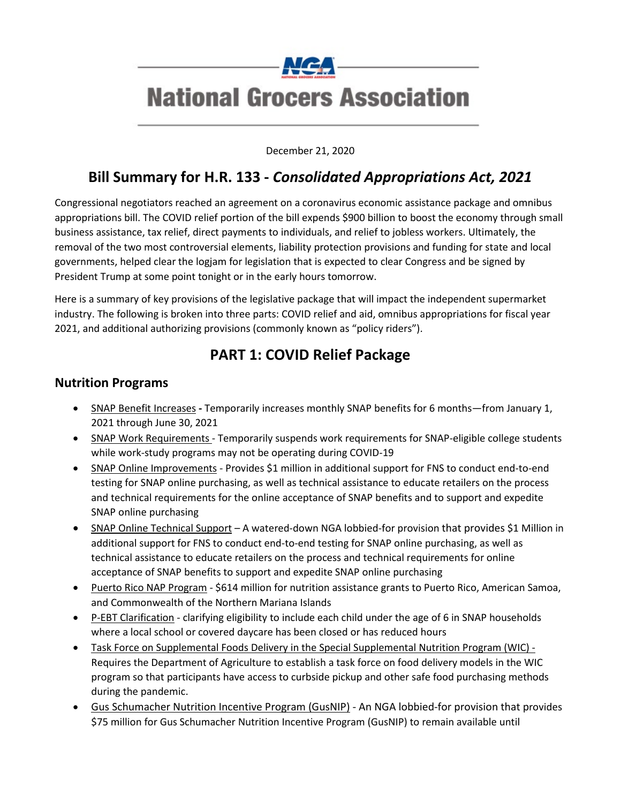

December 21, 2020

### **Bill Summary for H.R. 133 -** *Consolidated Appropriations Act, 2021*

Congressional negotiators reached an agreement on a coronavirus economic assistance package and omnibus appropriations bill. The COVID relief portion of the bill expends \$900 billion to boost the economy through small business assistance, tax relief, direct payments to individuals, and relief to jobless workers. Ultimately, the removal of the two most controversial elements, liability protection provisions and funding for state and local governments, helped clear the logjam for legislation that is expected to clear Congress and be signed by President Trump at some point tonight or in the early hours tomorrow.

Here is a summary of key provisions of the legislative package that will impact the independent supermarket industry. The following is broken into three parts: COVID relief and aid, omnibus appropriations for fiscal year 2021, and additional authorizing provisions (commonly known as "policy riders").

### **PART 1: COVID Relief Package**

#### **Nutrition Programs**

- SNAP Benefit Increases **-** Temporarily increases monthly SNAP benefits for 6 months—from January 1, 2021 through June 30, 2021
- SNAP Work Requirements Temporarily suspends work requirements for SNAP-eligible college students while work-study programs may not be operating during COVID-19
- SNAP Online Improvements Provides \$1 million in additional support for FNS to conduct end-to-end testing for SNAP online purchasing, as well as technical assistance to educate retailers on the process and technical requirements for the online acceptance of SNAP benefits and to support and expedite SNAP online purchasing
- SNAP Online Technical Support A watered-down NGA lobbied-for provision that provides \$1 Million in additional support for FNS to conduct end-to-end testing for SNAP online purchasing, as well as technical assistance to educate retailers on the process and technical requirements for online acceptance of SNAP benefits to support and expedite SNAP online purchasing
- Puerto Rico NAP Program \$614 million for nutrition assistance grants to Puerto Rico, American Samoa, and Commonwealth of the Northern Mariana Islands
- P-EBT Clarification clarifying eligibility to include each child under the age of 6 in SNAP households where a local school or covered daycare has been closed or has reduced hours
- Task Force on Supplemental Foods Delivery in the Special Supplemental Nutrition Program (WIC) Requires the Department of Agriculture to establish a task force on food delivery models in the WIC program so that participants have access to curbside pickup and other safe food purchasing methods during the pandemic.
- Gus Schumacher Nutrition Incentive Program (GusNIP) An NGA lobbied-for provision that provides \$75 million for Gus Schumacher Nutrition Incentive Program (GusNIP) to remain available until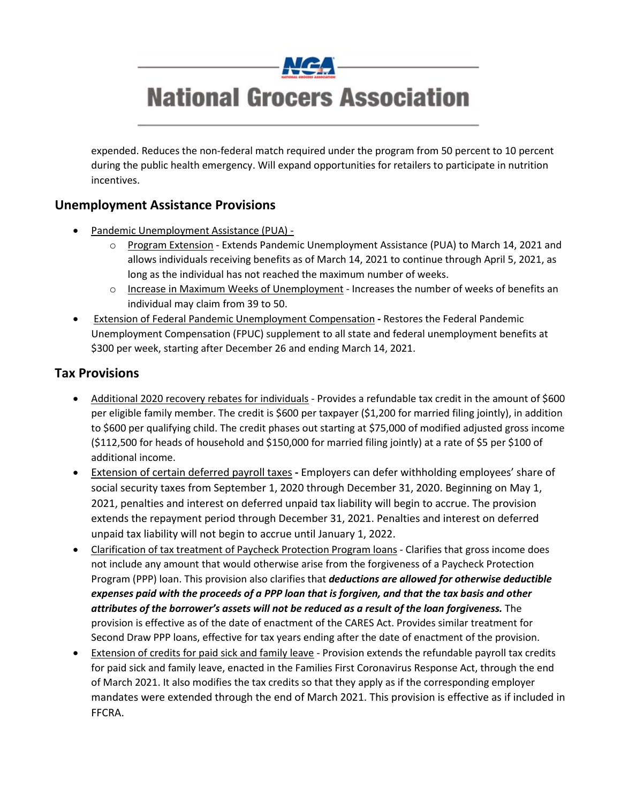

expended. Reduces the non-federal match required under the program from 50 percent to 10 percent during the public health emergency. Will expand opportunities for retailers to participate in nutrition incentives.

### **Unemployment Assistance Provisions**

- Pandemic Unemployment Assistance (PUA)
	- o Program Extension Extends Pandemic Unemployment Assistance (PUA) to March 14, 2021 and allows individuals receiving benefits as of March 14, 2021 to continue through April 5, 2021, as long as the individual has not reached the maximum number of weeks.
	- o Increase in Maximum Weeks of Unemployment Increases the number of weeks of benefits an individual may claim from 39 to 50.
- Extension of Federal Pandemic Unemployment Compensation **-** Restores the Federal Pandemic Unemployment Compensation (FPUC) supplement to all state and federal unemployment benefits at \$300 per week, starting after December 26 and ending March 14, 2021.

### **Tax Provisions**

- Additional 2020 recovery rebates for individuals Provides a refundable tax credit in the amount of \$600 per eligible family member. The credit is \$600 per taxpayer (\$1,200 for married filing jointly), in addition to \$600 per qualifying child. The credit phases out starting at \$75,000 of modified adjusted gross income (\$112,500 for heads of household and \$150,000 for married filing jointly) at a rate of \$5 per \$100 of additional income.
- Extension of certain deferred payroll taxes **-** Employers can defer withholding employees' share of social security taxes from September 1, 2020 through December 31, 2020. Beginning on May 1, 2021, penalties and interest on deferred unpaid tax liability will begin to accrue. The provision extends the repayment period through December 31, 2021. Penalties and interest on deferred unpaid tax liability will not begin to accrue until January 1, 2022.
- Clarification of tax treatment of Paycheck Protection Program loans Clarifies that gross income does not include any amount that would otherwise arise from the forgiveness of a Paycheck Protection Program (PPP) loan. This provision also clarifies that *deductions are allowed for otherwise deductible expenses paid with the proceeds of a PPP loan that is forgiven, and that the tax basis and other attributes of the borrower's assets will not be reduced as a result of the loan forgiveness.* The provision is effective as of the date of enactment of the CARES Act. Provides similar treatment for Second Draw PPP loans, effective for tax years ending after the date of enactment of the provision.
- Extension of credits for paid sick and family leave Provision extends the refundable payroll tax credits for paid sick and family leave, enacted in the Families First Coronavirus Response Act, through the end of March 2021. It also modifies the tax credits so that they apply as if the corresponding employer mandates were extended through the end of March 2021. This provision is effective as if included in FFCRA.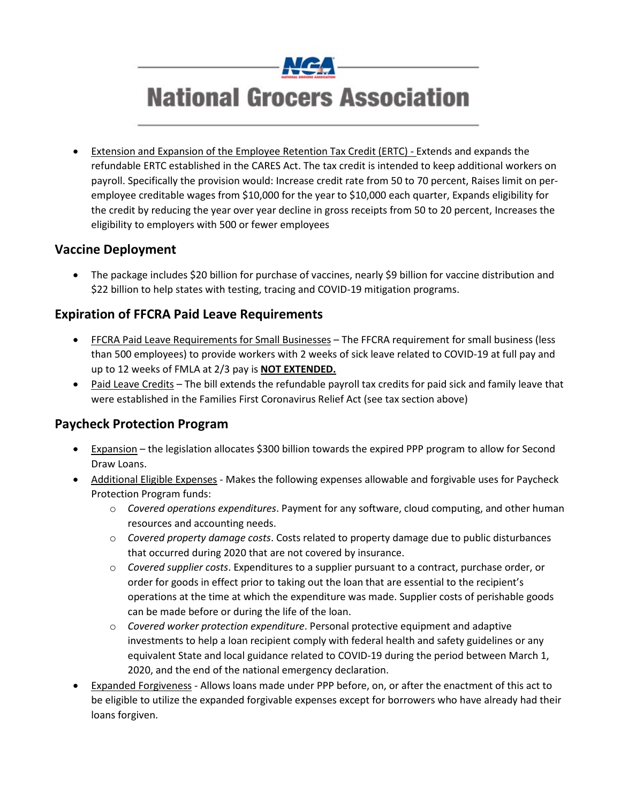

• Extension and Expansion of the Employee Retention Tax Credit (ERTC) - Extends and expands the refundable ERTC established in the CARES Act. The tax credit is intended to keep additional workers on payroll. Specifically the provision would: Increase credit rate from 50 to 70 percent, Raises limit on peremployee creditable wages from \$10,000 for the year to \$10,000 each quarter, Expands eligibility for the credit by reducing the year over year decline in gross receipts from 50 to 20 percent, Increases the eligibility to employers with 500 or fewer employees

### **Vaccine Deployment**

• The package includes \$20 billion for purchase of vaccines, nearly \$9 billion for vaccine distribution and \$22 billion to help states with testing, tracing and COVID-19 mitigation programs.

#### **Expiration of FFCRA Paid Leave Requirements**

- FECRA Paid Leave Requirements for Small Businesses The FFCRA requirement for small business (less than 500 employees) to provide workers with 2 weeks of sick leave related to COVID-19 at full pay and up to 12 weeks of FMLA at 2/3 pay is **NOT EXTENDED.**
- Paid Leave Credits The bill extends the refundable payroll tax credits for paid sick and family leave that were established in the Families First Coronavirus Relief Act (see tax section above)

#### **Paycheck Protection Program**

- Expansion the legislation allocates \$300 billion towards the expired PPP program to allow for Second Draw Loans.
- Additional Eligible Expenses Makes the following expenses allowable and forgivable uses for Paycheck Protection Program funds:
	- o *Covered operations expenditures*. Payment for any software, cloud computing, and other human resources and accounting needs.
	- o *Covered property damage costs*. Costs related to property damage due to public disturbances that occurred during 2020 that are not covered by insurance.
	- o *Covered supplier costs*. Expenditures to a supplier pursuant to a contract, purchase order, or order for goods in effect prior to taking out the loan that are essential to the recipient's operations at the time at which the expenditure was made. Supplier costs of perishable goods can be made before or during the life of the loan.
	- o *Covered worker protection expenditure*. Personal protective equipment and adaptive investments to help a loan recipient comply with federal health and safety guidelines or any equivalent State and local guidance related to COVID-19 during the period between March 1, 2020, and the end of the national emergency declaration.
- Expanded Forgiveness Allows loans made under PPP before, on, or after the enactment of this act to be eligible to utilize the expanded forgivable expenses except for borrowers who have already had their loans forgiven.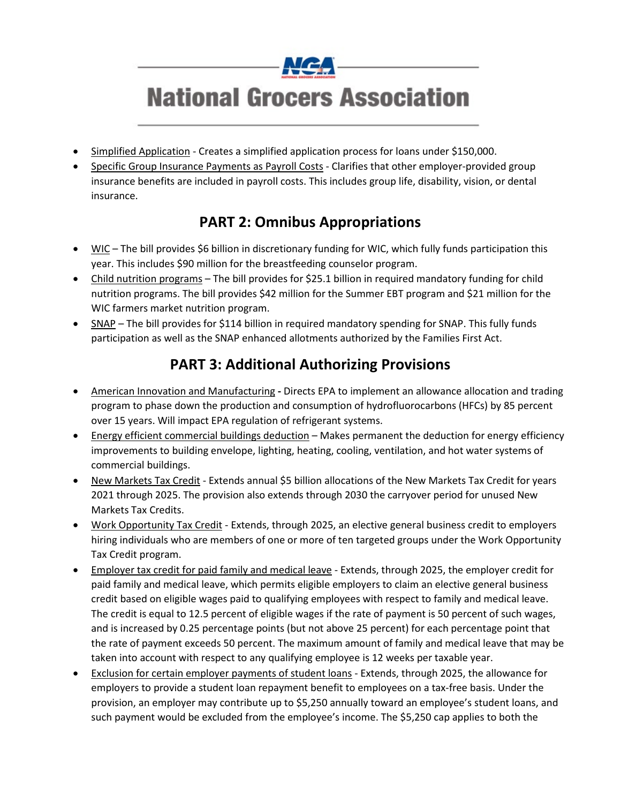

- Simplified Application Creates a simplified application process for loans under \$150,000.
- Specific Group Insurance Payments as Payroll Costs Clarifies that other employer-provided group insurance benefits are included in payroll costs. This includes group life, disability, vision, or dental insurance.

## **PART 2: Omnibus Appropriations**

- WIC The bill provides \$6 billion in discretionary funding for WIC, which fully funds participation this year. This includes \$90 million for the breastfeeding counselor program.
- Child nutrition programs The bill provides for \$25.1 billion in required mandatory funding for child nutrition programs. The bill provides \$42 million for the Summer EBT program and \$21 million for the WIC farmers market nutrition program.
- SNAP The bill provides for \$114 billion in required mandatory spending for SNAP. This fully funds participation as well as the SNAP enhanced allotments authorized by the Families First Act.

## **PART 3: Additional Authorizing Provisions**

- American Innovation and Manufacturing **-** Directs EPA to implement an allowance allocation and trading program to phase down the production and consumption of hydrofluorocarbons (HFCs) by 85 percent over 15 years. Will impact EPA regulation of refrigerant systems.
- Energy efficient commercial buildings deduction Makes permanent the deduction for energy efficiency improvements to building envelope, lighting, heating, cooling, ventilation, and hot water systems of commercial buildings.
- New Markets Tax Credit Extends annual \$5 billion allocations of the New Markets Tax Credit for years 2021 through 2025. The provision also extends through 2030 the carryover period for unused New Markets Tax Credits.
- Work Opportunity Tax Credit Extends, through 2025, an elective general business credit to employers hiring individuals who are members of one or more of ten targeted groups under the Work Opportunity Tax Credit program.
- Employer tax credit for paid family and medical leave Extends, through 2025, the employer credit for paid family and medical leave, which permits eligible employers to claim an elective general business credit based on eligible wages paid to qualifying employees with respect to family and medical leave. The credit is equal to 12.5 percent of eligible wages if the rate of payment is 50 percent of such wages, and is increased by 0.25 percentage points (but not above 25 percent) for each percentage point that the rate of payment exceeds 50 percent. The maximum amount of family and medical leave that may be taken into account with respect to any qualifying employee is 12 weeks per taxable year.
- Exclusion for certain employer payments of student loans Extends, through 2025, the allowance for employers to provide a student loan repayment benefit to employees on a tax-free basis. Under the provision, an employer may contribute up to \$5,250 annually toward an employee's student loans, and such payment would be excluded from the employee's income. The \$5,250 cap applies to both the